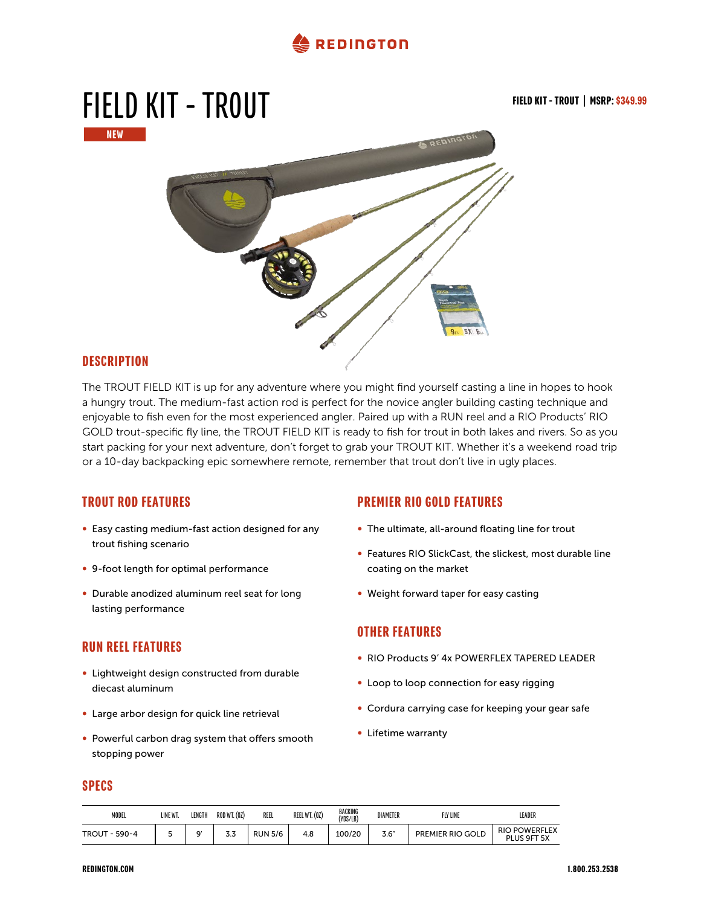#### **REDINGTON**



#### **DESCRIPTION**

The TROUT FIELD KIT is up for any adventure where you might find yourself casting a line in hopes to hook a hungry trout. The medium-fast action rod is perfect for the novice angler building casting technique and enjoyable to fish even for the most experienced angler. Paired up with a RUN reel and a RIO Products' RIO GOLD trout-specific fly line, the TROUT FIELD KIT is ready to fish for trout in both lakes and rivers. So as you start packing for your next adventure, don't forget to grab your TROUT KIT. Whether it's a weekend road trip or a 10-day backpacking epic somewhere remote, remember that trout don't live in ugly places.

#### TROUT ROD FEATURES

- ∞ Easy casting medium-fast action designed for any trout fishing scenario
- ∞ 9-foot length for optimal performance
- ∞ Durable anodized aluminum reel seat for long lasting performance

#### RUN REEL FEATURES

- ∞ Lightweight design constructed from durable diecast aluminum
- ∞ Large arbor design for quick line retrieval
- ∞ Powerful carbon drag system that offers smooth stopping power

#### PREMIER RIO GOLD FEATURES

- ∞ The ultimate, all-around floating line for trout
- ∞ Features RIO SlickCast, the slickest, most durable line coating on the market
- ∞ Weight forward taper for easy casting

#### OTHER FEATURES

- ∞ RIO Products 9' 4x POWERFLEX TAPERED LEADER
- Loop to loop connection for easy rigging
- Cordura carrying case for keeping your gear safe
- ∞ Lifetime warranty

#### SPECS

| <b>MODEL</b>      | LINE WT | ENGTI  | ROD WT. (02) | REEL           | REEL WT. (0Z) | BACKING<br>(YDS/LB) | <b>DIAMETER</b> | <b>FLY LINE</b>  | LEADER                              |
|-------------------|---------|--------|--------------|----------------|---------------|---------------------|-----------------|------------------|-------------------------------------|
| $-590-4$<br>TROUT |         | $\sim$ | ა.ა          | <b>RUN 5/6</b> | 4.8           | 100/20              | 3.6"            | PREMIER RIO GOLD | <b>RIO POWERFLEX</b><br>PLUS 9FT 5X |

#### REDINGTON.COM 1.800.253.2538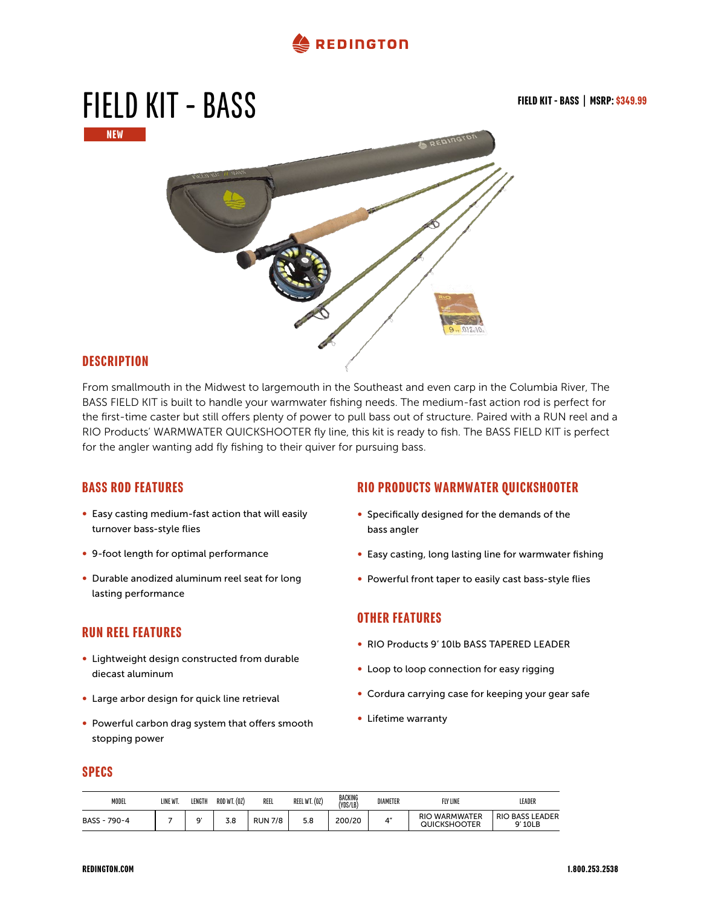



#### **DESCRIPTION**

From smallmouth in the Midwest to largemouth in the Southeast and even carp in the Columbia River, The BASS FIELD KIT is built to handle your warmwater fishing needs. The medium-fast action rod is perfect for the first-time caster but still offers plenty of power to pull bass out of structure. Paired with a RUN reel and a RIO Products' WARMWATER QUICKSHOOTER fly line, this kit is ready to fish. The BASS FIELD KIT is perfect for the angler wanting add fly fishing to their quiver for pursuing bass.

#### BASS ROD FEATURES

- ∞ Easy casting medium-fast action that will easily turnover bass-style flies
- ∞ 9-foot length for optimal performance
- ∞ Durable anodized aluminum reel seat for long lasting performance

#### RUN REEL FEATURES

- ∞ Lightweight design constructed from durable diecast aluminum
- ∞ Large arbor design for quick line retrieval
- ∞ Powerful carbon drag system that offers smooth stopping power

#### RIO PRODUCTS WARMWATER QUICKSHOOTER

- ∞ Specifically designed for the demands of the bass angler
- ∞ Easy casting, long lasting line for warmwater fishing
- ∞ Powerful front taper to easily cast bass-style flies

#### OTHER FEATURES

- ∞ RIO Products 9' 10lb BASS TAPERED LEADER
- Loop to loop connection for easy rigging
- ∞ Cordura carrying case for keeping your gear safe
- ∞ Lifetime warranty

#### SPECS

| <b>MODEL</b>        | LINE WT. | LENGTH | <b>ROD WT. (02)</b> | REEL           | REEL WT. (0Z) | BACKING<br>(YDS/LB) | DIAMETER | FLY LINE                             | LEADER                            |
|---------------------|----------|--------|---------------------|----------------|---------------|---------------------|----------|--------------------------------------|-----------------------------------|
| BASS -<br>$790 - 4$ |          | $\sim$ | 3.8                 | <b>RUN 7/8</b> | 5.8           | 200/20              | 4"       | <b>RIO WARMWATER</b><br>QUICKSHOOTER | <b>RIO BASS LEADER</b><br>9' 10LB |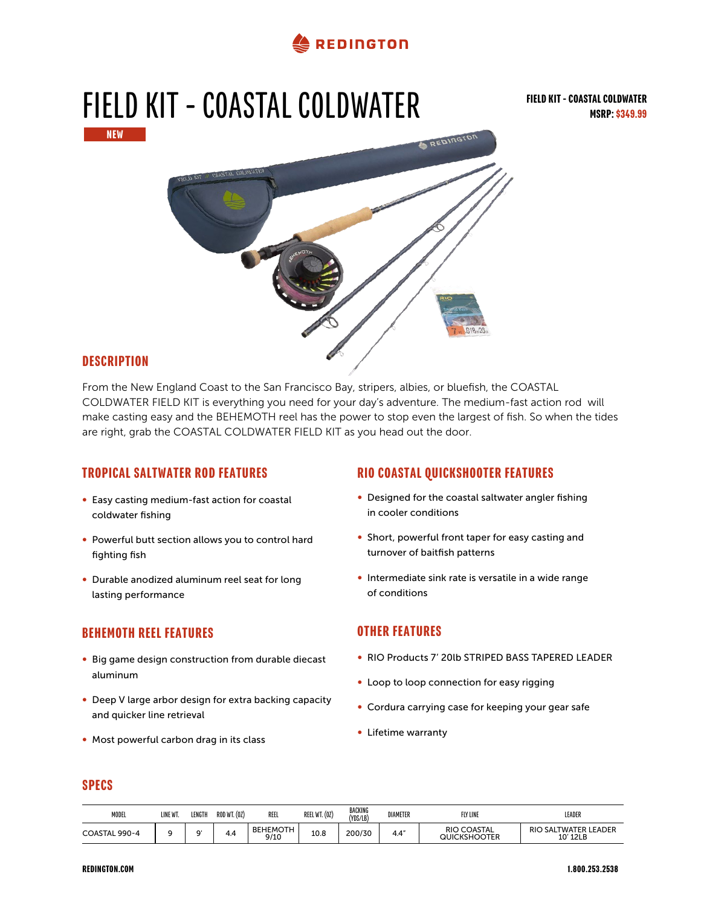

# FIELD KIT - COASTAL COLDWATER NEW REDINGT

#### **DESCRIPTION**

From the New England Coast to the San Francisco Bay, stripers, albies, or bluefish, the COASTAL COLDWATER FIELD KIT is everything you need for your day's adventure. The medium-fast action rod will make casting easy and the BEHEMOTH reel has the power to stop even the largest of fish. So when the tides are right, grab the COASTAL COLDWATER FIELD KIT as you head out the door.

#### TROPICAL SALTWATER ROD FEATURES

- ∞ Easy casting medium-fast action for coastal coldwater fishing
- ∞ Powerful butt section allows you to control hard fighting fish
- ∞ Durable anodized aluminum reel seat for long lasting performance

#### BEHEMOTH REEL FEATURES

- ∞ Big game design construction from durable diecast aluminum
- ∞ Deep V large arbor design for extra backing capacity and quicker line retrieval
- ∞ Most powerful carbon drag in its class

#### RIO COASTAL QUICKSHOOTER FEATURES

- Designed for the coastal saltwater angler fishing in cooler conditions
- ∞ Short, powerful front taper for easy casting and turnover of baitfish patterns
- ∞ Intermediate sink rate is versatile in a wide range of conditions

#### OTHER FEATURES

- ∞ RIO Products 7' 20lb STRIPED BASS TAPERED LEADER
- Loop to loop connection for easy rigging
- ∞ Cordura carrying case for keeping your gear safe
- ∞ Lifetime warranty

#### SPECS

| <b>MODEL</b>                | LINE WT. | LENGTH               | ROD WT. (0Z) | REEL                    | REEL WT. (0Z) | BACKING<br>(YDS/LB) | DIAMETER | FLY LINE                         | LEADER                                            |
|-----------------------------|----------|----------------------|--------------|-------------------------|---------------|---------------------|----------|----------------------------------|---------------------------------------------------|
| $990 - 4$<br><b>COASTAL</b> |          | $\ddot{\phantom{1}}$ | 4.4          | <b>BEHEMOTH</b><br>9/10 | 100<br>⊥∪.o   | 200/30              | 4.4''    | COASTAL<br>RIO C<br>QUICKSHOOTER | ) SALTWATER LEADER<br>RIC<br>12LB<br>$1^{\prime}$ |

#### REDINGTON.COM 1.800.253.2538

FIELD KIT - COASTAL COLDWATER

MSRP: \$349.99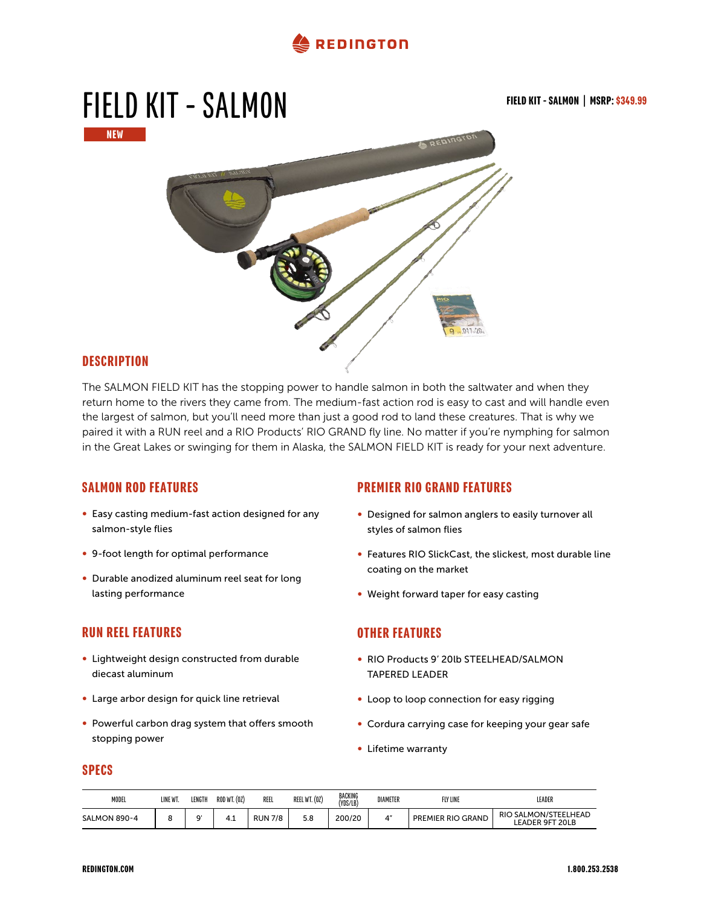

## FIELD KIT - SALMON FIELD KIT - SALMON | MSRP: \$349.99 NEW

#### **DESCRIPTION**

The SALMON FIELD KIT has the stopping power to handle salmon in both the saltwater and when they return home to the rivers they came from. The medium-fast action rod is easy to cast and will handle even the largest of salmon, but you'll need more than just a good rod to land these creatures. That is why we paired it with a RUN reel and a RIO Products' RIO GRAND fly line. No matter if you're nymphing for salmon in the Great Lakes or swinging for them in Alaska, the SALMON FIELD KIT is ready for your next adventure.

#### SALMON ROD FEATURES

- ∞ Easy casting medium-fast action designed for any salmon-style flies
- ∞ 9-foot length for optimal performance
- ∞ Durable anodized aluminum reel seat for long lasting performance

#### RUN REEL FEATURES

- ∞ Lightweight design constructed from durable diecast aluminum
- ∞ Large arbor design for quick line retrieval
- ∞ Powerful carbon drag system that offers smooth stopping power

#### PREMIER RIO GRAND FEATURES

- ∞ Designed for salmon anglers to easily turnover all styles of salmon flies
- ∞ Features RIO SlickCast, the slickest, most durable line coating on the market
- ∞ Weight forward taper for easy casting

#### OTHER FEATURES

- ∞ RIO Products 9' 20lb STEELHEAD/SALMON TAPERED LEADER
- Loop to loop connection for easy rigging
- Cordura carrying case for keeping your gear safe
- ∞ Lifetime warranty

#### SPECS

| <b>MODEL</b> | LINE W" | LENGTH | <b>ROD WT. (02)</b>  | REEI           | REEL WT. (0Z) | BACKING<br>(YDS/LB) | DIAMETER | <b>FLY LINE</b>   | LEADER                                                |
|--------------|---------|--------|----------------------|----------------|---------------|---------------------|----------|-------------------|-------------------------------------------------------|
| SALMON 890-4 |         | $\sim$ | $\mathbf{A}$<br>т. д | <b>RUN 7/8</b> | 5.8           | 200/20              |          | PREMIER RIO GRAND | <b>RIO SALMON/STEELHEAD</b><br><b>LEADER 9FT 20LB</b> |